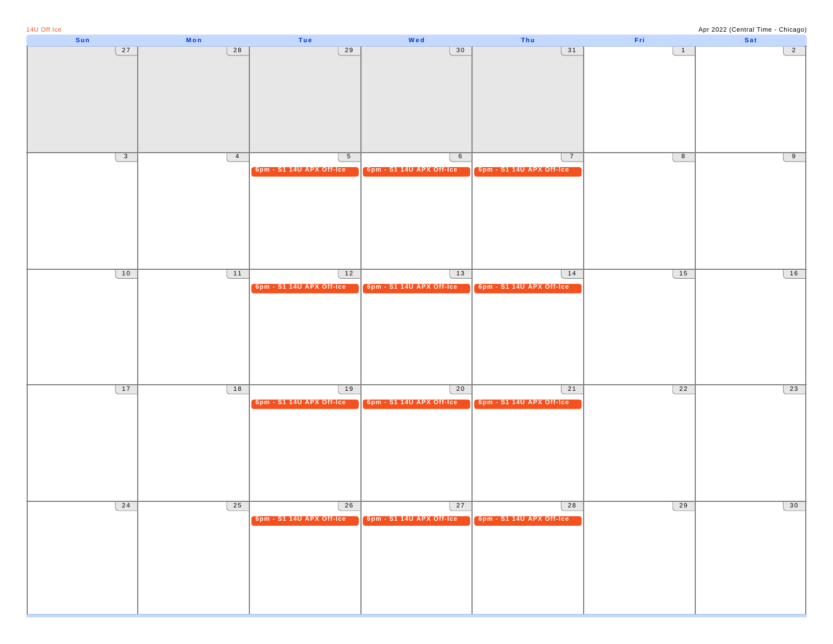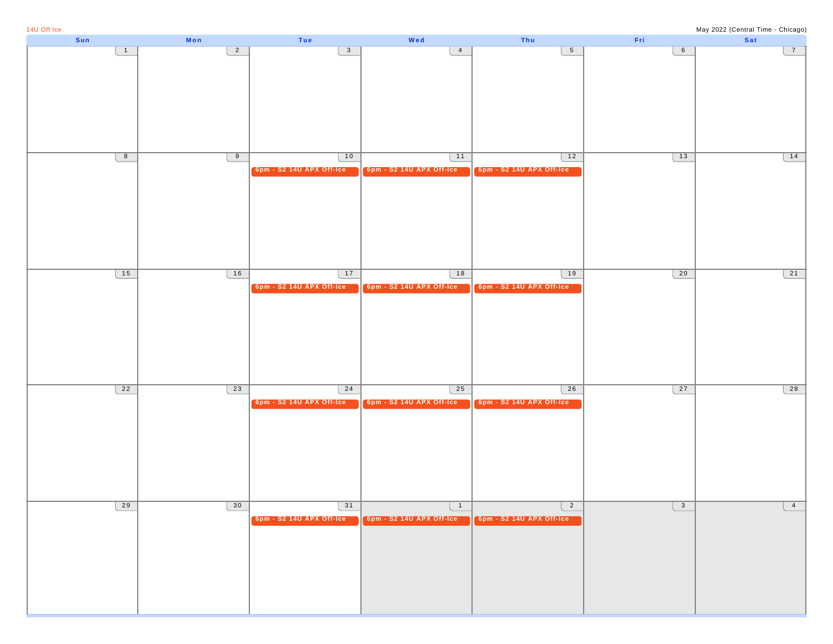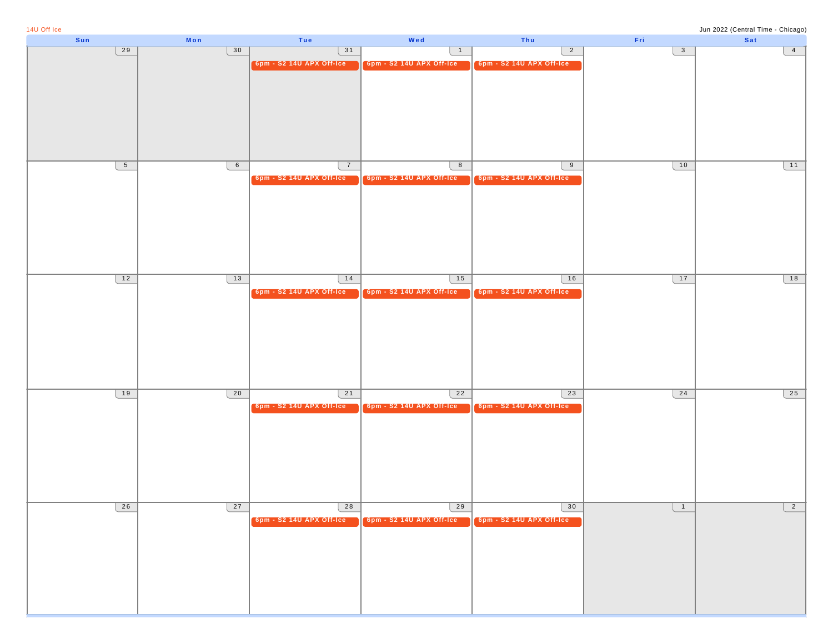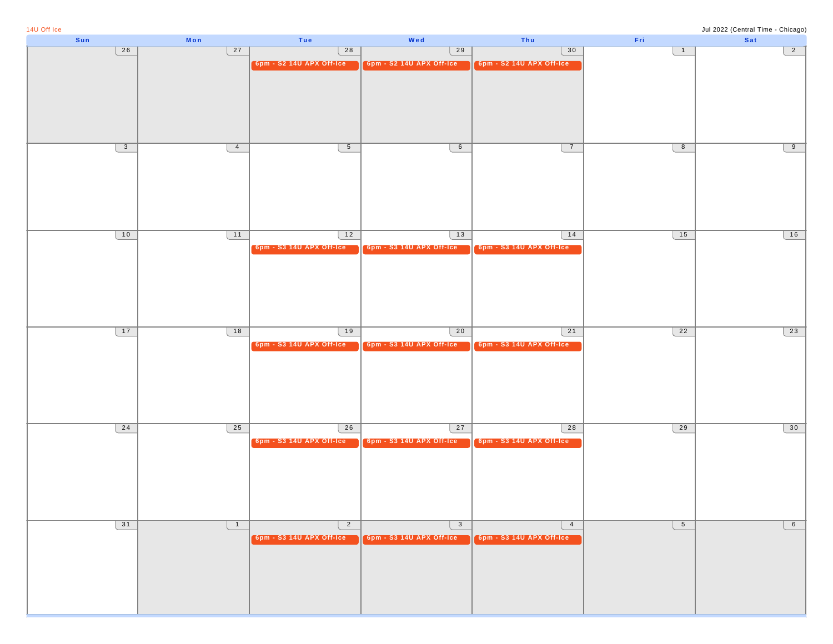| 14U Off Ice  |                |                          |                          |                          |                 | Jul 2022 (Central Time - Chicago) |
|--------------|----------------|--------------------------|--------------------------|--------------------------|-----------------|-----------------------------------|
| Sun          | Mon            | Tue                      | Wed                      | Thu                      | Fri             | Sat                               |
| 26           | 27             | 28                       | 29                       | 30                       | $\overline{1}$  | $\overline{2}$                    |
|              |                | 6pm - S2 14U APX Off-Ice | 6pm - S2 14U APX Off-Ice | 6pm - S2 14U APX Off-Ice |                 |                                   |
|              |                |                          |                          |                          |                 |                                   |
|              |                |                          |                          |                          |                 |                                   |
|              |                |                          |                          |                          |                 |                                   |
|              |                |                          |                          |                          |                 |                                   |
|              |                |                          |                          |                          |                 |                                   |
|              |                |                          |                          |                          |                 |                                   |
|              |                |                          |                          |                          |                 |                                   |
|              |                |                          |                          |                          |                 |                                   |
| $\mathbf{3}$ | $\overline{4}$ | $5\overline{)}$          | $6\overline{6}$          | $\overline{7}$           | 8               | 9                                 |
|              |                |                          |                          |                          |                 |                                   |
|              |                |                          |                          |                          |                 |                                   |
|              |                |                          |                          |                          |                 |                                   |
|              |                |                          |                          |                          |                 |                                   |
|              |                |                          |                          |                          |                 |                                   |
|              |                |                          |                          |                          |                 |                                   |
|              |                |                          |                          |                          |                 |                                   |
|              |                |                          |                          |                          |                 |                                   |
| 10           | 11             | 12                       | 13                       | 14                       | 15              | 16                                |
|              |                | 6pm - S3 14U APX Off-Ice |                          |                          |                 |                                   |
|              |                |                          | 6pm - S3 14U APX Off-Ice | 6pm - S3 14U APX Off-Ice |                 |                                   |
|              |                |                          |                          |                          |                 |                                   |
|              |                |                          |                          |                          |                 |                                   |
|              |                |                          |                          |                          |                 |                                   |
|              |                |                          |                          |                          |                 |                                   |
|              |                |                          |                          |                          |                 |                                   |
|              |                |                          |                          |                          |                 |                                   |
|              |                |                          |                          |                          |                 |                                   |
| 17           | 18             | 19                       | 20                       | 21                       | 22              | 23                                |
|              |                |                          |                          |                          |                 |                                   |
|              |                | 6pm - S3 14U APX Off-Ice | 6pm - S3 14U APX Off-Ice | 6pm - S3 14U APX Off-Ice |                 |                                   |
|              |                |                          |                          |                          |                 |                                   |
|              |                |                          |                          |                          |                 |                                   |
|              |                |                          |                          |                          |                 |                                   |
|              |                |                          |                          |                          |                 |                                   |
|              |                |                          |                          |                          |                 |                                   |
|              |                |                          |                          |                          |                 |                                   |
|              |                |                          |                          |                          |                 |                                   |
| 24           | 25             | 26                       | 27                       | 28                       | 29              | 30                                |
|              |                |                          |                          |                          |                 |                                   |
|              |                | 6pm - S3 14U APX Off-Ice | 6pm - S3 14U APX Off-Ice | 6pm - S3 14U APX Off-Ice |                 |                                   |
|              |                |                          |                          |                          |                 |                                   |
|              |                |                          |                          |                          |                 |                                   |
|              |                |                          |                          |                          |                 |                                   |
|              |                |                          |                          |                          |                 |                                   |
|              |                |                          |                          |                          |                 |                                   |
|              |                |                          |                          |                          |                 |                                   |
|              |                |                          |                          |                          |                 |                                   |
| 31           |                | $\overline{2}$           |                          | $\overline{4}$           | $5\phantom{.0}$ | $6\overline{6}$                   |
|              | $\overline{1}$ |                          | $\overline{\mathbf{3}}$  |                          |                 |                                   |
|              |                | 6pm - S3 14U APX Off-Ice | 6pm - S3 14U APX Off-Ice | 6pm - S3 14U APX Off-Ice |                 |                                   |
|              |                |                          |                          |                          |                 |                                   |
|              |                |                          |                          |                          |                 |                                   |
|              |                |                          |                          |                          |                 |                                   |
|              |                |                          |                          |                          |                 |                                   |
|              |                |                          |                          |                          |                 |                                   |
|              |                |                          |                          |                          |                 |                                   |
|              |                |                          |                          |                          |                 |                                   |
|              |                |                          |                          |                          |                 |                                   |